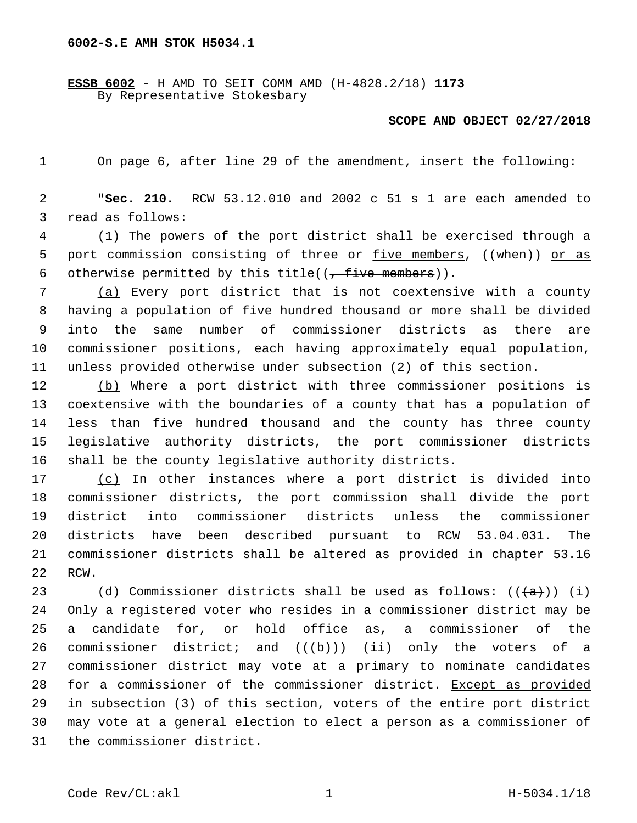**ESSB 6002** - H AMD TO SEIT COMM AMD (H-4828.2/18) **1173** By Representative Stokesbary

## **SCOPE AND OBJECT 02/27/2018**

On page 6, after line 29 of the amendment, insert the following:

 "**Sec. 210.** RCW 53.12.010 and 2002 c 51 s 1 are each amended to 3 read as follows:

 (1) The powers of the port district shall be exercised through a 5 port commission consisting of three or five members, ((when)) or as 6 otherwise permitted by this title( $(-$  five members)).

 (a) Every port district that is not coextensive with a county having a population of five hundred thousand or more shall be divided into the same number of commissioner districts as there are commissioner positions, each having approximately equal population, unless provided otherwise under subsection (2) of this section.

 (b) Where a port district with three commissioner positions is coextensive with the boundaries of a county that has a population of less than five hundred thousand and the county has three county legislative authority districts, the port commissioner districts shall be the county legislative authority districts.

 (c) In other instances where a port district is divided into commissioner districts, the port commission shall divide the port district into commissioner districts unless the commissioner districts have been described pursuant to RCW 53.04.031. The commissioner districts shall be altered as provided in chapter 53.16 22 RCW.

23 (d) Commissioner districts shall be used as follows:  $((a+))$  (i) Only a registered voter who resides in a commissioner district may be a candidate for, or hold office as, a commissioner of the 26 commissioner district; and  $((+b))$   $(ii)$  only the voters of a commissioner district may vote at a primary to nominate candidates for a commissioner of the commissioner district. Except as provided in subsection (3) of this section, voters of the entire port district may vote at a general election to elect a person as a commissioner of 31 the commissioner district.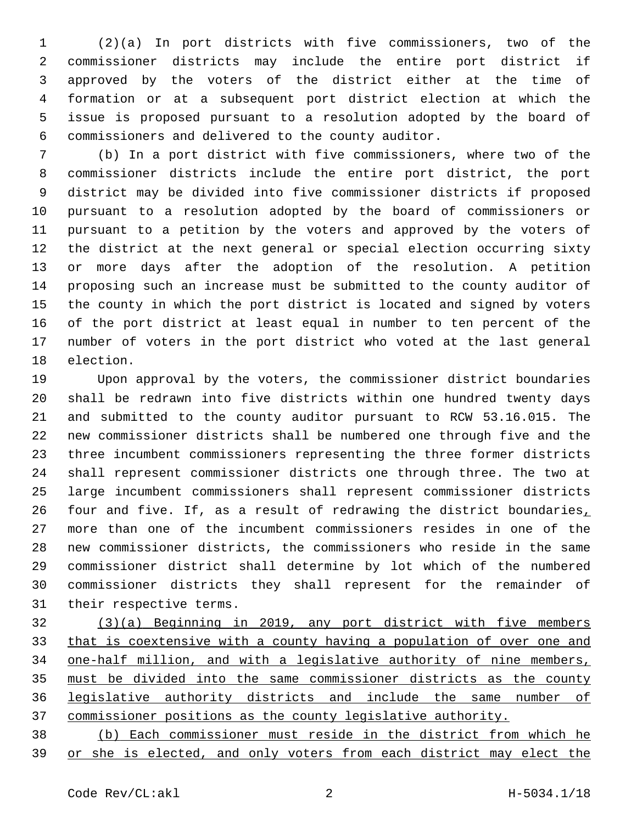(2)(a) In port districts with five commissioners, two of the commissioner districts may include the entire port district if approved by the voters of the district either at the time of formation or at a subsequent port district election at which the issue is proposed pursuant to a resolution adopted by the board of commissioners and delivered to the county auditor.6

 (b) In a port district with five commissioners, where two of the commissioner districts include the entire port district, the port district may be divided into five commissioner districts if proposed pursuant to a resolution adopted by the board of commissioners or pursuant to a petition by the voters and approved by the voters of the district at the next general or special election occurring sixty or more days after the adoption of the resolution. A petition proposing such an increase must be submitted to the county auditor of the county in which the port district is located and signed by voters of the port district at least equal in number to ten percent of the number of voters in the port district who voted at the last general 18 election.

 Upon approval by the voters, the commissioner district boundaries shall be redrawn into five districts within one hundred twenty days and submitted to the county auditor pursuant to RCW 53.16.015. The new commissioner districts shall be numbered one through five and the three incumbent commissioners representing the three former districts shall represent commissioner districts one through three. The two at large incumbent commissioners shall represent commissioner districts 26 four and five. If, as a result of redrawing the district boundaries, more than one of the incumbent commissioners resides in one of the new commissioner districts, the commissioners who reside in the same commissioner district shall determine by lot which of the numbered commissioner districts they shall represent for the remainder of 31 their respective terms.

 (3)(a) Beginning in 2019, any port district with five members 33 that is coextensive with a county having a population of over one and one-half million, and with a legislative authority of nine members, must be divided into the same commissioner districts as the county legislative authority districts and include the same number of commissioner positions as the county legislative authority.

 (b) Each commissioner must reside in the district from which he or she is elected, and only voters from each district may elect the